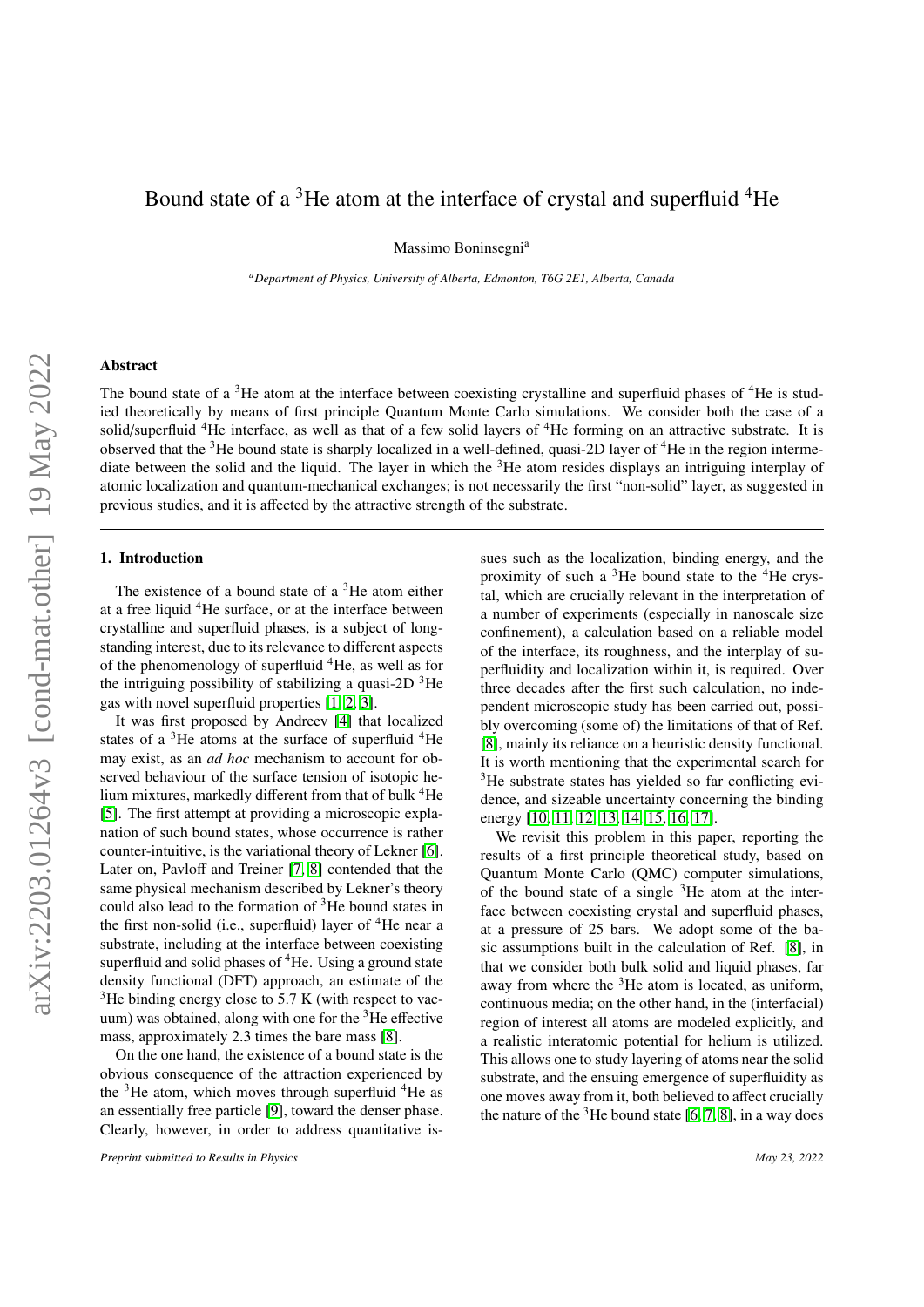# Bound state of a  ${}^{3}$ He atom at the interface of crystal and superfluid  ${}^{4}$ He

Massimo Boninsegni<sup>a</sup>

*<sup>a</sup>Department of Physics, University of Alberta, Edmonton, T6G 2E1, Alberta, Canada*

# Abstract

The bound state of a  ${}^{3}$ He atom at the interface between coexisting crystalline and superfluid phases of  ${}^{4}$ He is studied theoretically by means of first principle Quantum Monte Carlo simulations. We consider both the case of a solid/superfluid <sup>4</sup>He interface, as well as that of a few solid layers of <sup>4</sup>He forming on an attractive substrate. It is observed that the  $3$ He bound state is sharply localized in a well-defined, quasi-2D layer of  $4$ He in the region intermediate between the solid and the liquid. The layer in which the <sup>3</sup>He atom resides displays an intriguing interplay of atomic localization and quantum-mechanical exchanges; is not necessarily the first "non-solid" layer, as suggested in previous studies, and it is affected by the attractive strength of the substrate.

## 1. Introduction

The existence of a bound state of a  ${}^{3}$ He atom either at a free liquid <sup>4</sup>He surface, or at the interface between crystalline and superfluid phases, is a subject of longstanding interest, due to its relevance to different aspects of the phenomenology of superfluid <sup>4</sup>He, as well as for the intriguing possibility of stabilizing a quasi-2D  $3$ He gas with novel superfluid properties [\[1,](#page-5-0) [2,](#page-5-1) [3\]](#page-5-2).

It was first proposed by Andreev [\[4\]](#page-5-3) that localized states of a  ${}^{3}$ He atoms at the surface of superfluid  ${}^{4}$ He may exist, as an *ad hoc* mechanism to account for observed behaviour of the surface tension of isotopic helium mixtures, markedly different from that of bulk <sup>4</sup>He [\[5\]](#page-5-4). The first attempt at providing a microscopic explanation of such bound states, whose occurrence is rather counter-intuitive, is the variational theory of Lekner [\[6\]](#page-5-5). Later on, Pavloff and Treiner [\[7,](#page-5-6) [8\]](#page-5-7) contended that the same physical mechanism described by Lekner's theory could also lead to the formation of  ${}^{3}$ He bound states in the first non-solid (i.e., superfluid) layer of  ${}^{4}$ He near a substrate, including at the interface between coexisting superfluid and solid phases of  ${}^{4}$ He. Using a ground state density functional (DFT) approach, an estimate of the  $3$ He binding energy close to 5.7 K (with respect to vacuum) was obtained, along with one for the  ${}^{3}$ He effective mass, approximately 2.3 times the bare mass [\[8\]](#page-5-7).

On the one hand, the existence of a bound state is the obvious consequence of the attraction experienced by the  $3$ He atom, which moves through superfluid  $4$ He as an essentially free particle [\[9\]](#page-5-8), toward the denser phase. Clearly, however, in order to address quantitative is-

*Preprint submitted to Results in Physics May 23, 2022*

sues such as the localization, binding energy, and the proximity of such a  $3$ He bound state to the  $4$ He crystal, which are crucially relevant in the interpretation of a number of experiments (especially in nanoscale size confinement), a calculation based on a reliable model of the interface, its roughness, and the interplay of superfluidity and localization within it, is required. Over three decades after the first such calculation, no independent microscopic study has been carried out, possibly overcoming (some of) the limitations of that of Ref. [\[8\]](#page-5-7), mainly its reliance on a heuristic density functional. It is worth mentioning that the experimental search for <sup>3</sup>He substrate states has yielded so far conflicting evidence, and sizeable uncertainty concerning the binding energy [\[10,](#page-5-9) [11,](#page-5-10) [12,](#page-5-11) [13,](#page-5-12) [14,](#page-5-13) [15,](#page-5-14) [16,](#page-5-15) [17\]](#page-5-16).

We revisit this problem in this paper, reporting the results of a first principle theoretical study, based on Quantum Monte Carlo (QMC) computer simulations, of the bound state of a single  ${}^{3}$ He atom at the interface between coexisting crystal and superfluid phases, at a pressure of 25 bars. We adopt some of the basic assumptions built in the calculation of Ref. [\[8\]](#page-5-7), in that we consider both bulk solid and liquid phases, far away from where the  $3$ He atom is located, as uniform, continuous media; on the other hand, in the (interfacial) region of interest all atoms are modeled explicitly, and a realistic interatomic potential for helium is utilized. This allows one to study layering of atoms near the solid substrate, and the ensuing emergence of superfluidity as one moves away from it, both believed to affect crucially the nature of the  $3$ He bound state [\[6,](#page-5-5) [7,](#page-5-6) [8\]](#page-5-7), in a way does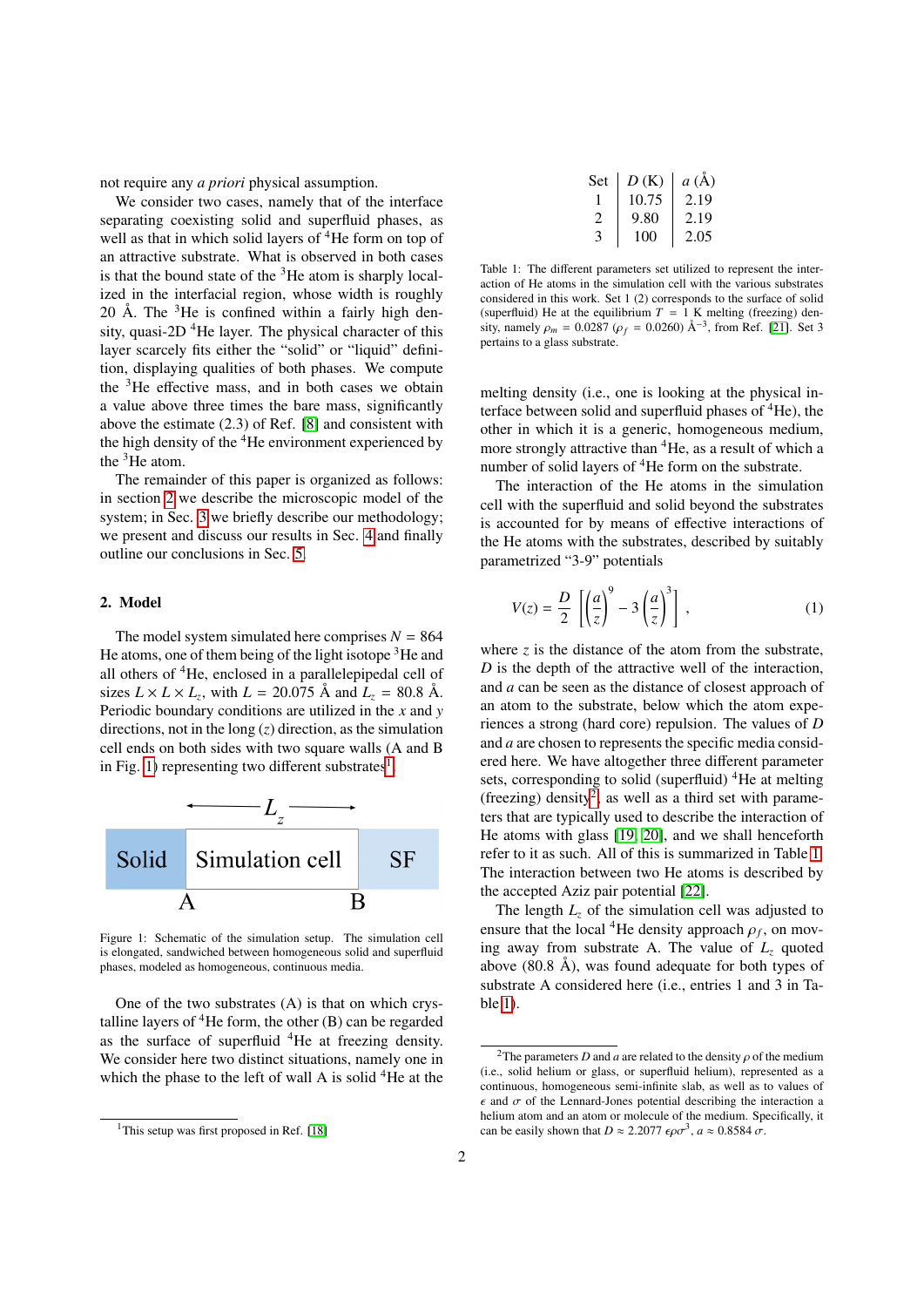not require any *a priori* physical assumption.

We consider two cases, namely that of the interface separating coexisting solid and superfluid phases, as well as that in which solid layers of <sup>4</sup>He form on top of an attractive substrate. What is observed in both cases is that the bound state of the  $3$ He atom is sharply localized in the interfacial region, whose width is roughly 20 Å. The  ${}^{3}$ He is confined within a fairly high density, quasi-2D  $^{4}$ He layer. The physical character of this layer scarcely fits either the "solid" or "liquid" definition, displaying qualities of both phases. We compute the  ${}^{3}$ He effective mass, and in both cases we obtain a value above three times the bare mass, significantly above the estimate (2.3) of Ref. [\[8\]](#page-5-7) and consistent with the high density of the  ${}^{4}$ He environment experienced by the  ${}^{3}$ He atom.

The remainder of this paper is organized as follows: in section [2](#page-1-0) we describe the microscopic model of the system; in Sec. [3](#page-2-0) we briefly describe our methodology; we present and discuss our results in Sec. [4](#page-2-1) and finally outline our conclusions in Sec. [5.](#page-4-0)

# <span id="page-1-0"></span>2. Model

The model system simulated here comprises  $N = 864$ He atoms, one of them being of the light isotope  ${}^{3}$ He and all others of <sup>4</sup>He, enclosed in a parallelepipedal cell of sizes  $L \times L \times L_z$ , with  $L = 20.075$  Å and  $L_z = 80.8$  Å. Periodic boundary conditions are utilized in the *x* and *y* directions, not in the long (*z*) direction, as the simulation cell ends on both sides with two square walls (A and B in Fig. [1\)](#page-1-1) representing two different substrates $<sup>1</sup>$  $<sup>1</sup>$  $<sup>1</sup>$ .</sup>



<span id="page-1-1"></span>Figure 1: Schematic of the simulation setup. The simulation cell is elongated, sandwiched between homogeneous solid and superfluid phases, modeled as homogeneous, continuous media.

One of the two substrates (A) is that on which crystalline layers of  ${}^{4}$ He form, the other (B) can be regarded as the surface of superfluid  ${}^{4}$ He at freezing density. We consider here two distinct situations, namely one in which the phase to the left of wall A is solid  ${}^{4}$ He at the

| Set                         | D(K)  | a(A) |
|-----------------------------|-------|------|
|                             | 10.75 | 2.19 |
| $\mathcal{D}_{\mathcal{A}}$ | 9.80  | 2.19 |
| 3                           | 100   | 2.05 |

<span id="page-1-4"></span>Table 1: The different parameters set utilized to represent the interaction of He atoms in the simulation cell with the various substrates considered in this work. Set 1 (2) corresponds to the surface of solid (superfluid) He at the equilibrium  $T = 1$  K melting (freezing) density, namely  $\rho_m = 0.0287$  ( $\rho_f = 0.0260$ ) Å<sup>-3</sup>, from Ref. [\[21\]](#page-5-18). Set 3<br>pertains to a glass substrate pertains to a glass substrate.

melting density (i.e., one is looking at the physical interface between solid and superfluid phases of  ${}^{4}$ He), the other in which it is a generic, homogeneous medium, more strongly attractive than <sup>4</sup>He, as a result of which a number of solid layers of <sup>4</sup>He form on the substrate.

The interaction of the He atoms in the simulation cell with the superfluid and solid beyond the substrates is accounted for by means of effective interactions of the He atoms with the substrates, described by suitably parametrized "3-9" potentials

$$
V(z) = \frac{D}{2} \left[ \left( \frac{a}{z} \right)^9 - 3 \left( \frac{a}{z} \right)^3 \right],
$$
 (1)

where  $\zeta$  is the distance of the atom from the substrate, *D* is the depth of the attractive well of the interaction, and *a* can be seen as the distance of closest approach of an atom to the substrate, below which the atom experiences a strong (hard core) repulsion. The values of *D* and *a* are chosen to represents the specific media considered here. We have altogether three different parameter sets, corresponding to solid (superfluid)  ${}^{4}$ He at melting (freezing) density<sup>[2](#page-1-3)</sup>, as well as a third set with parameters that are typically used to describe the interaction of He atoms with glass [\[19,](#page-5-19) [20\]](#page-5-20), and we shall henceforth refer to it as such. All of this is summarized in Table [1.](#page-1-4) The interaction between two He atoms is described by the accepted Aziz pair potential [\[22\]](#page-5-21).

The length *L<sup>z</sup>* of the simulation cell was adjusted to ensure that the local <sup>4</sup>He density approach  $\rho_f$ , on mov-<br>ing away from substrate A. The value of L. quoted ing away from substrate A. The value of  $L<sub>z</sub>$  quoted above  $(80.8 \text{ Å})$ , was found adequate for both types of substrate A considered here (i.e., entries 1 and 3 in Table [1\)](#page-1-4).

<span id="page-1-2"></span><sup>&</sup>lt;sup>1</sup>This setup was first proposed in Ref. [\[18\]](#page-5-17)

<span id="page-1-3"></span><sup>&</sup>lt;sup>2</sup>The parameters *D* and *a* are related to the density  $\rho$  of the medium (i.e., solid helium or glass, or superfluid helium), represented as a continuous, homogeneous semi-infinite slab, as well as to values of  $\epsilon$  and  $\sigma$  of the Lennard-Jones potential describing the interaction a helium atom and an atom or molecule of the medium. Specifically, it can be easily shown that  $D \approx 2.2077 \epsilon \rho \sigma^3$ ,  $a \approx 0.8584 \sigma$ .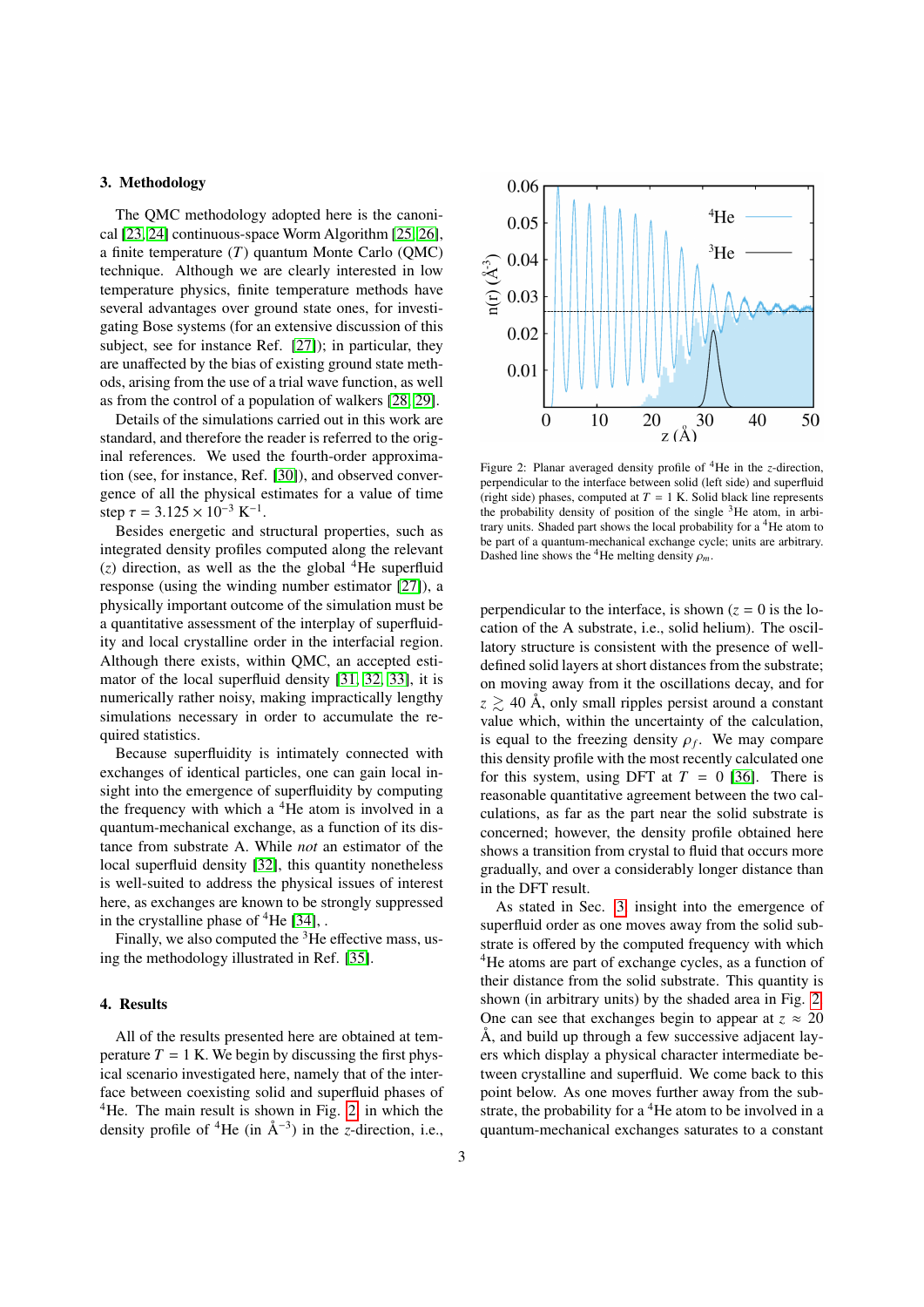# <span id="page-2-0"></span>3. Methodology

The QMC methodology adopted here is the canonical [\[23,](#page-5-22) [24\]](#page-5-23) continuous-space Worm Algorithm [\[25,](#page-5-24) [26\]](#page-5-25), a finite temperature (*T*) quantum Monte Carlo (QMC) technique. Although we are clearly interested in low temperature physics, finite temperature methods have several advantages over ground state ones, for investigating Bose systems (for an extensive discussion of this subject, see for instance Ref. [\[27\]](#page-5-26)); in particular, they are unaffected by the bias of existing ground state methods, arising from the use of a trial wave function, as well as from the control of a population of walkers [\[28,](#page-6-0) [29\]](#page-6-1).

Details of the simulations carried out in this work are standard, and therefore the reader is referred to the original references. We used the fourth-order approximation (see, for instance, Ref. [\[30\]](#page-6-2)), and observed convergence of all the physical estimates for a value of time step  $\tau = 3.125 \times 10^{-3} \text{ K}^{-1}$ .<br>Besides energetic and s

Besides energetic and structural properties, such as integrated density profiles computed along the relevant  $(z)$  direction, as well as the the global <sup>4</sup>He superfluid response (using the winding number estimator [\[27\]](#page-5-26)), a physically important outcome of the simulation must be a quantitative assessment of the interplay of superfluidity and local crystalline order in the interfacial region. Although there exists, within QMC, an accepted estimator of the local superfluid density [\[31,](#page-6-3) [32,](#page-6-4) [33\]](#page-6-5), it is numerically rather noisy, making impractically lengthy simulations necessary in order to accumulate the required statistics.

Because superfluidity is intimately connected with exchanges of identical particles, one can gain local insight into the emergence of superfluidity by computing the frequency with which a  ${}^{4}$ He atom is involved in a quantum-mechanical exchange, as a function of its distance from substrate A. While *not* an estimator of the local superfluid density [\[32\]](#page-6-4), this quantity nonetheless is well-suited to address the physical issues of interest here, as exchanges are known to be strongly suppressed in the crystalline phase of  ${}^{4}$ He [\[34\]](#page-6-6), .

Finally, we also computed the  ${}^{3}$ He effective mass, using the methodology illustrated in Ref. [\[35\]](#page-6-7).

#### <span id="page-2-1"></span>4. Results

All of the results presented here are obtained at temperature  $T = 1$  K. We begin by discussing the first physical scenario investigated here, namely that of the interface between coexisting solid and superfluid phases of  $4$ He. The main result is shown in Fig. [2,](#page-2-2) in which the density profile of <sup>4</sup>He (in  $\AA^{-3}$ ) in the *z*-direction, i.e.,



<span id="page-2-2"></span>Figure 2: Planar averaged density profile of <sup>4</sup>He in the *z*-direction, perpendicular to the interface between solid (left side) and superfluid (right side) phases, computed at  $T = 1$  K. Solid black line represents the probability density of position of the single  $3$ He atom, in arbitrary units. Shaded part shows the local probability for a <sup>4</sup>He atom to be part of a quantum-mechanical exchange cycle; units are arbitrary. Dashed line shows the <sup>4</sup>He melting density  $\rho_m$ .

perpendicular to the interface, is shown  $(z = 0)$  is the location of the A substrate, i.e., solid helium). The oscillatory structure is consistent with the presence of welldefined solid layers at short distances from the substrate; on moving away from it the oscillations decay, and for  $z \ge 40$  Å, only small ripples persist around a constant value which, within the uncertainty of the calculation, is equal to the freezing density  $\rho_f$ . We may compare this density profile with the most recently calculated one this density profile with the most recently calculated one for this system, using DFT at  $T = 0$  [\[36\]](#page-6-8). There is reasonable quantitative agreement between the two calculations, as far as the part near the solid substrate is concerned; however, the density profile obtained here shows a transition from crystal to fluid that occurs more gradually, and over a considerably longer distance than in the DFT result.

As stated in Sec. [3,](#page-2-0) insight into the emergence of superfluid order as one moves away from the solid substrate is offered by the computed frequency with which <sup>4</sup>He atoms are part of exchange cycles, as a function of their distance from the solid substrate. This quantity is shown (in arbitrary units) by the shaded area in Fig. [2.](#page-2-2) One can see that exchanges begin to appear at  $z \approx 20$ Å, and build up through a few successive adjacent layers which display a physical character intermediate between crystalline and superfluid. We come back to this point below. As one moves further away from the substrate, the probability for a  ${}^{4}$ He atom to be involved in a quantum-mechanical exchanges saturates to a constant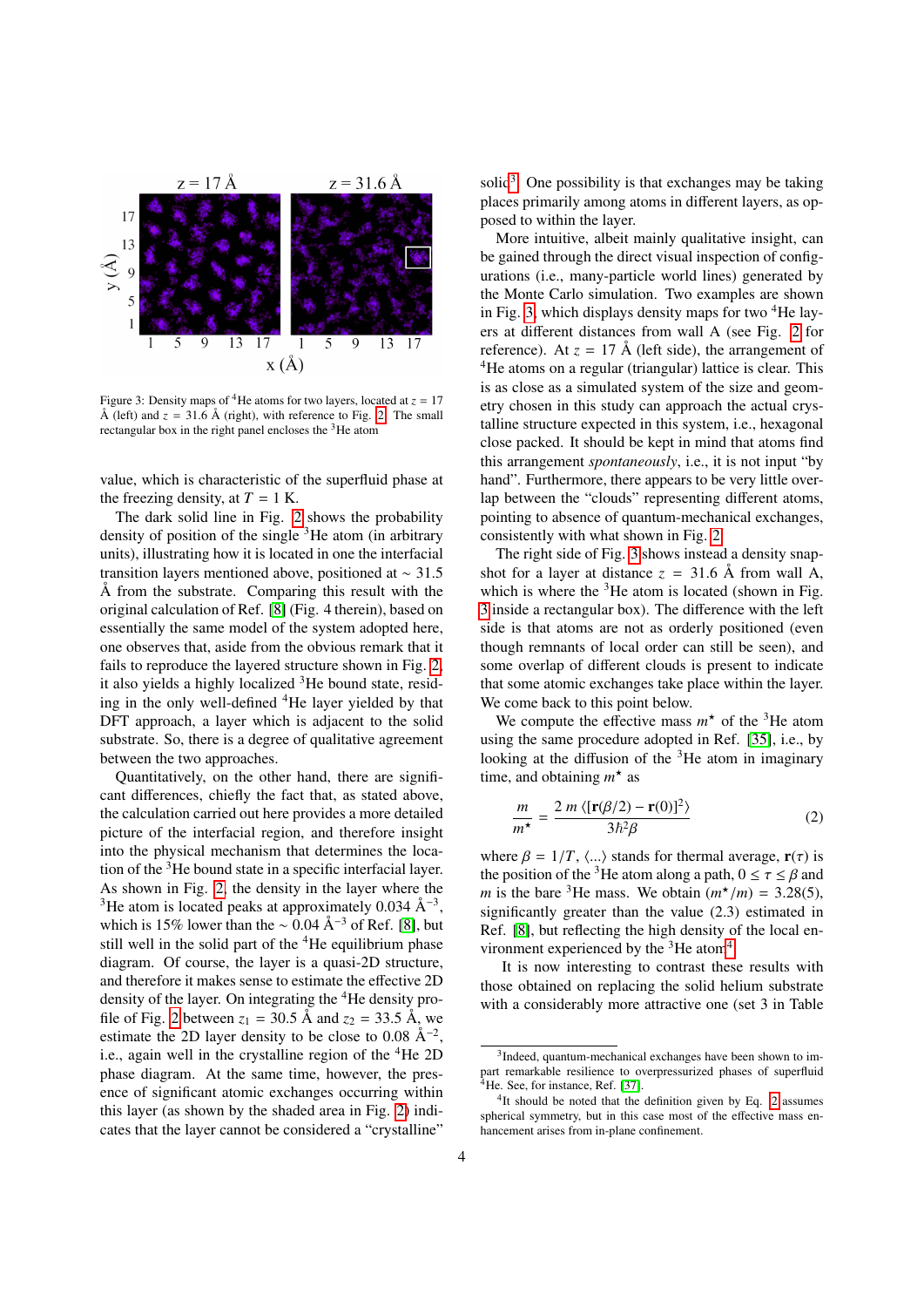

<span id="page-3-1"></span>Figure 3: Density maps of <sup>4</sup>He atoms for two layers, located at  $z = 17$ Å (left) and  $z = 31.6$  Å (right), with reference to Fig. [2.](#page-2-2) The small rectangular box in the right panel encloses the <sup>3</sup>He atom

value, which is characteristic of the superfluid phase at the freezing density, at  $T = 1$  K.

The dark solid line in Fig. [2](#page-2-2) shows the probability density of position of the single  ${}^{3}$ He atom (in arbitrary units), illustrating how it is located in one the interfacial transition layers mentioned above, positioned at <sup>∼</sup> <sup>31</sup>.<sup>5</sup> Å from the substrate. Comparing this result with the original calculation of Ref. [\[8\]](#page-5-7) (Fig. 4 therein), based on essentially the same model of the system adopted here, one observes that, aside from the obvious remark that it fails to reproduce the layered structure shown in Fig. [2,](#page-2-2) it also yields a highly localized  ${}^{3}$ He bound state, residing in the only well-defined <sup>4</sup>He layer yielded by that DFT approach, a layer which is adjacent to the solid substrate. So, there is a degree of qualitative agreement between the two approaches.

Quantitatively, on the other hand, there are significant differences, chiefly the fact that, as stated above, the calculation carried out here provides a more detailed picture of the interfacial region, and therefore insight into the physical mechanism that determines the location of the <sup>3</sup>He bound state in a specific interfacial layer. As shown in Fig. [2,](#page-2-2) the density in the layer where the <sup>3</sup>He atom is located peaks at approximately 0.034  $\AA^{-3}$ , which is 15% lower than the  $\sim 0.04 \text{ Å}^{-3}$  of Ref. [\[8\]](#page-5-7), but still well in the solid part of the  ${}^{4}$ He equilibrium phase diagram. Of course, the layer is a quasi-2D structure, and therefore it makes sense to estimate the effective 2D density of the layer. On integrating the <sup>4</sup>He density pro-file of Fig. [2](#page-2-2) between  $z_1 = 30.5$  Å and  $z_2 = 33.5$  Å, we estimate the 2D layer density to be close to 0.08  $\AA^{-2}$ , i.e., again well in the crystalline region of the  ${}^{4}$ He 2D phase diagram. At the same time, however, the presence of significant atomic exchanges occurring within this layer (as shown by the shaded area in Fig. [2\)](#page-2-2) indicates that the layer cannot be considered a "crystalline"

solid<sup>[3](#page-3-0)</sup>. One possibility is that exchanges may be taking places primarily among atoms in different layers, as opposed to within the layer.

More intuitive, albeit mainly qualitative insight, can be gained through the direct visual inspection of configurations (i.e., many-particle world lines) generated by the Monte Carlo simulation. Two examples are shown in Fig. [3,](#page-3-1) which displays density maps for two  ${}^{4}$ He layers at different distances from wall A (see Fig. [2](#page-2-2) for reference). At  $z = 17 \text{ Å}$  (left side), the arrangement of <sup>4</sup>He atoms on a regular (triangular) lattice is clear. This is as close as a simulated system of the size and geometry chosen in this study can approach the actual crystalline structure expected in this system, i.e., hexagonal close packed. It should be kept in mind that atoms find this arrangement *spontaneously*, i.e., it is not input "by hand". Furthermore, there appears to be very little overlap between the "clouds" representing different atoms, pointing to absence of quantum-mechanical exchanges, consistently with what shown in Fig. [2.](#page-2-2)

The right side of Fig. [3](#page-3-1) shows instead a density snapshot for a layer at distance  $z = 31.6$  Å from wall A, which is where the  $3$ He atom is located (shown in Fig. [3](#page-3-1) inside a rectangular box). The difference with the left side is that atoms are not as orderly positioned (even though remnants of local order can still be seen), and some overlap of different clouds is present to indicate that some atomic exchanges take place within the layer. We come back to this point below.

We compute the effective mass  $m^*$  of the <sup>3</sup>He atom using the same procedure adopted in Ref. [\[35\]](#page-6-7), i.e., by looking at the diffusion of the  ${}^{3}$ He atom in imaginary time, and obtaining  $m^*$  as

<span id="page-3-3"></span>
$$
\frac{m}{m^{\star}} = \frac{2 m \langle [\mathbf{r}(\beta/2) - \mathbf{r}(0)]^2 \rangle}{3\hbar^2 \beta}
$$
(2)

where  $\beta = 1/T$ ,  $\langle ... \rangle$  stands for thermal average,  $\mathbf{r}(\tau)$  is the position of the <sup>3</sup>He atom along a path,  $0 \le \tau \le \beta$  and *m* is the bare <sup>3</sup>He mass. We obtain  $(m^*/m) = 3.28(5)$ , significantly greater than the value (2.3) estimated in significantly greater than the value (2.3) estimated in Ref. [\[8\]](#page-5-7), but reflecting the high density of the local en-vironment experienced by the <sup>3</sup>He atom<sup>[4](#page-3-2)</sup>.

It is now interesting to contrast these results with those obtained on replacing the solid helium substrate with a considerably more attractive one (set 3 in Table

<span id="page-3-0"></span><sup>&</sup>lt;sup>3</sup>Indeed, quantum-mechanical exchanges have been shown to impart remarkable resilience to overpressurized phases of superfluid  $4$ He. See, for instance, Ref. [\[37\]](#page-6-9).

<span id="page-3-2"></span><sup>&</sup>lt;sup>4</sup>It should be noted that the definition given by Eq. [2](#page-3-3) assumes spherical symmetry, but in this case most of the effective mass enhancement arises from in-plane confinement.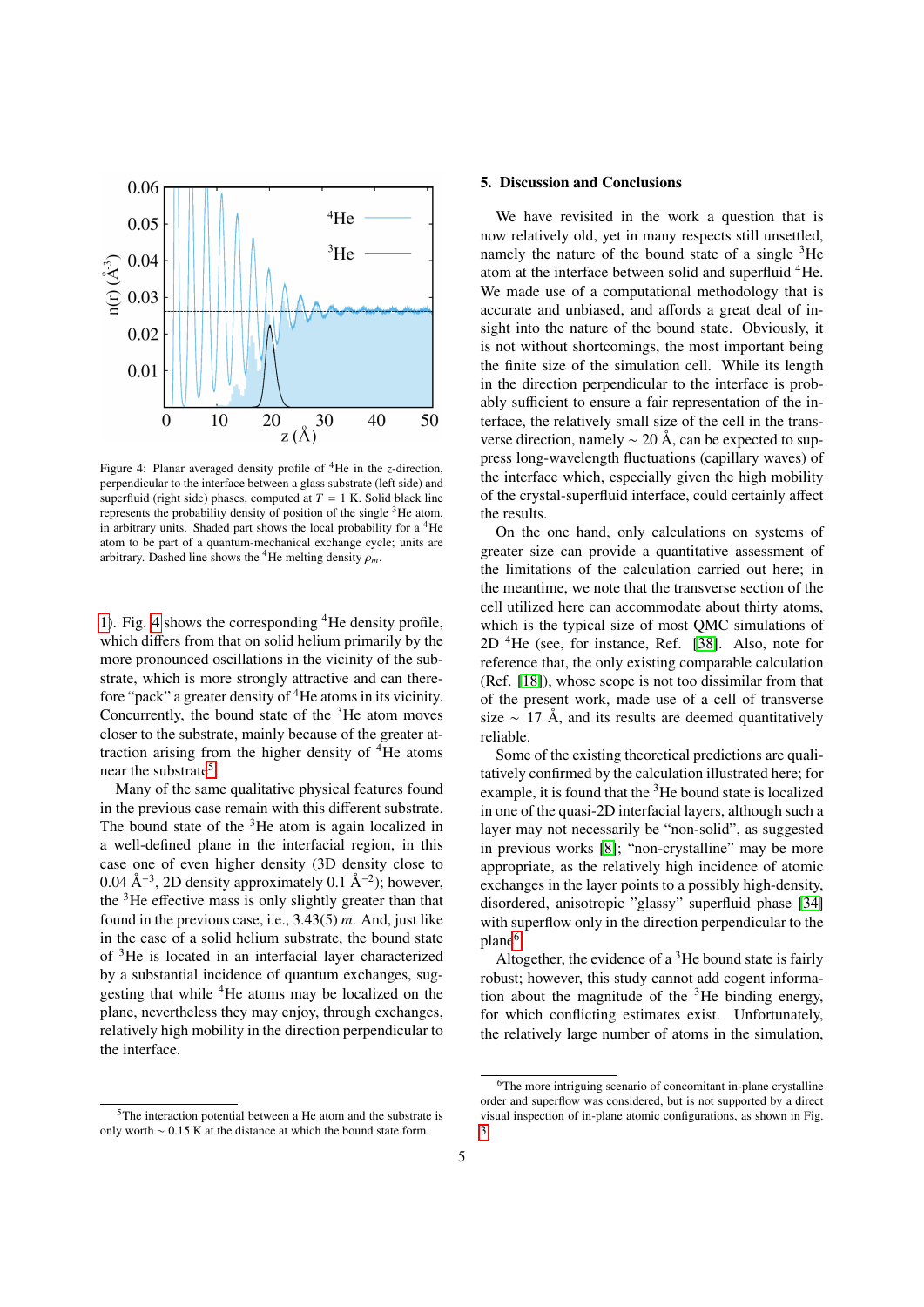

<span id="page-4-1"></span>Figure 4: Planar averaged density profile of <sup>4</sup>He in the *z*-direction, perpendicular to the interface between a glass substrate (left side) and superfluid (right side) phases, computed at  $T = 1$  K. Solid black line represents the probability density of position of the single  $3$ He atom, in arbitrary units. Shaded part shows the local probability for a  ${}^{4}$ He atom to be part of a quantum-mechanical exchange cycle; units are arbitrary. Dashed line shows the <sup>4</sup>He melting density  $\rho_m$ .

[1\)](#page-1-4). Fig. [4](#page-4-1) shows the corresponding <sup>4</sup>He density profile, which differs from that on solid helium primarily by the more pronounced oscillations in the vicinity of the substrate, which is more strongly attractive and can therefore "pack" a greater density of  ${}^{4}$ He atoms in its vicinity. Concurrently, the bound state of the  $3$ He atom moves closer to the substrate, mainly because of the greater attraction arising from the higher density of  ${}^{4}$ He atoms near the substrate<sup>[5](#page-4-2)</sup>.

Many of the same qualitative physical features found in the previous case remain with this different substrate. The bound state of the <sup>3</sup>He atom is again localized in a well-defined plane in the interfacial region, in this case one of even higher density (3D density close to 0.04 Å<sup>-3</sup>, 2D density approximately 0.1 Å<sup>-2</sup>); however, the  $3$ He effective mass is only slightly greater than that found in the previous case, i.e., 3.43(5) *<sup>m</sup>*. And, just like in the case of a solid helium substrate, the bound state of <sup>3</sup>He is located in an interfacial layer characterized by a substantial incidence of quantum exchanges, suggesting that while <sup>4</sup>He atoms may be localized on the plane, nevertheless they may enjoy, through exchanges, relatively high mobility in the direction perpendicular to the interface.

## <span id="page-4-0"></span>5. Discussion and Conclusions

We have revisited in the work a question that is now relatively old, yet in many respects still unsettled, namely the nature of the bound state of a single  ${}^{3}$ He atom at the interface between solid and superfluid <sup>4</sup>He. We made use of a computational methodology that is accurate and unbiased, and affords a great deal of insight into the nature of the bound state. Obviously, it is not without shortcomings, the most important being the finite size of the simulation cell. While its length in the direction perpendicular to the interface is probably sufficient to ensure a fair representation of the interface, the relatively small size of the cell in the transverse direction, namely  $\sim$  20 Å, can be expected to suppress long-wavelength fluctuations (capillary waves) of the interface which, especially given the high mobility of the crystal-superfluid interface, could certainly affect the results.

On the one hand, only calculations on systems of greater size can provide a quantitative assessment of the limitations of the calculation carried out here; in the meantime, we note that the transverse section of the cell utilized here can accommodate about thirty atoms, which is the typical size of most QMC simulations of  $2D<sup>4</sup>$ He (see, for instance, Ref. [\[38\]](#page-6-10). Also, note for reference that, the only existing comparable calculation (Ref. [\[18\]](#page-5-17)), whose scope is not too dissimilar from that of the present work, made use of a cell of transverse size  $\sim$  17 Å, and its results are deemed quantitatively reliable.

Some of the existing theoretical predictions are qualitatively confirmed by the calculation illustrated here; for example, it is found that the  ${}^{3}$ He bound state is localized in one of the quasi-2D interfacial layers, although such a layer may not necessarily be "non-solid", as suggested in previous works [\[8\]](#page-5-7); "non-crystalline" may be more appropriate, as the relatively high incidence of atomic exchanges in the layer points to a possibly high-density, disordered, anisotropic "glassy" superfluid phase [\[34\]](#page-6-6) with superflow only in the direction perpendicular to the plane<sup>[6](#page-4-3)</sup>.

Altogether, the evidence of a  $3$ He bound state is fairly robust; however, this study cannot add cogent information about the magnitude of the  ${}^{3}$ He binding energy, for which conflicting estimates exist. Unfortunately, the relatively large number of atoms in the simulation,

<span id="page-4-2"></span><sup>5</sup>The interaction potential between a He atom and the substrate is only worth <sup>∼</sup> <sup>0</sup>.15 K at the distance at which the bound state form.

<span id="page-4-3"></span><sup>6</sup>The more intriguing scenario of concomitant in-plane crystalline order and superflow was considered, but is not supported by a direct visual inspection of in-plane atomic configurations, as shown in Fig. [3.](#page-3-1)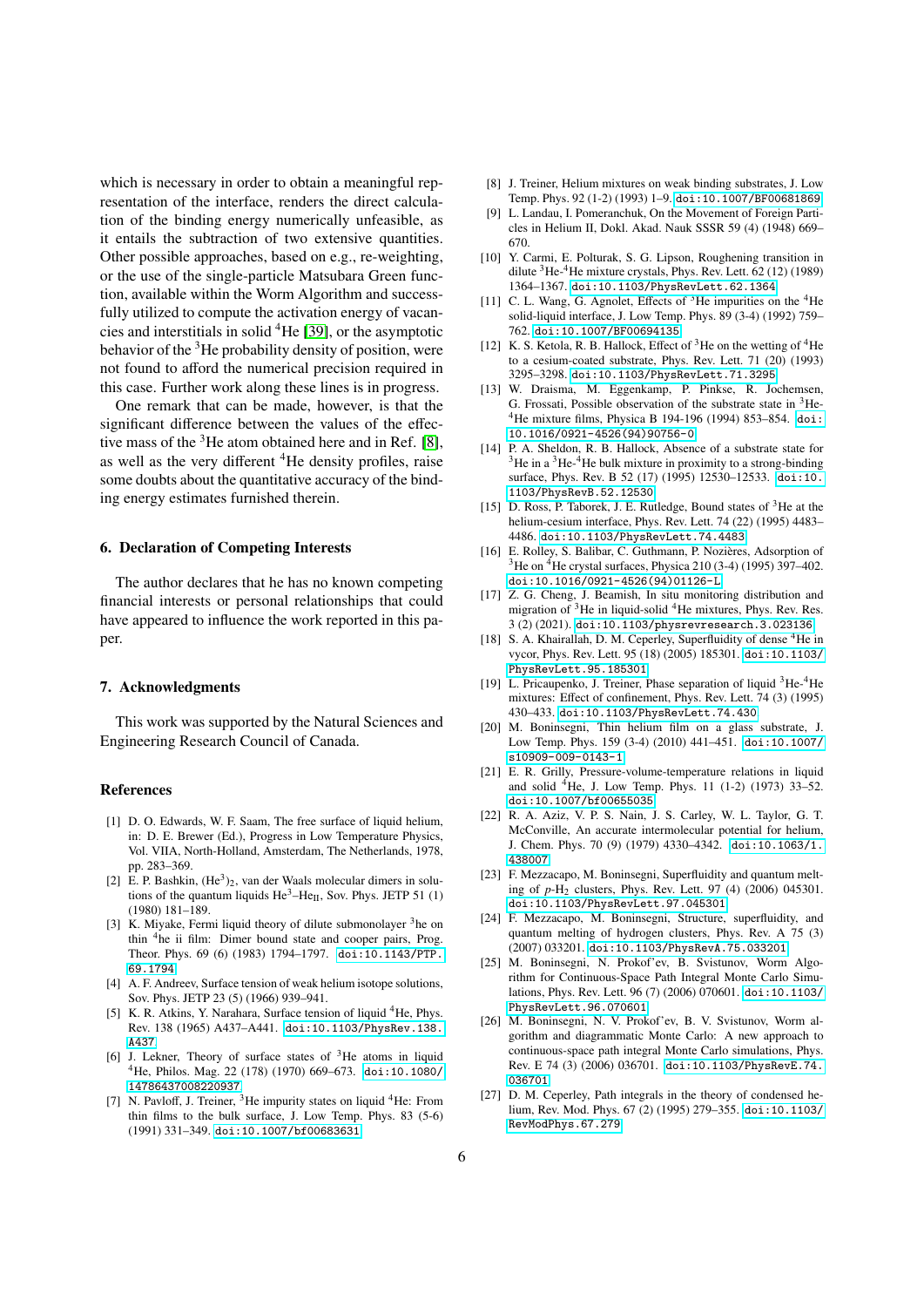which is necessary in order to obtain a meaningful representation of the interface, renders the direct calculation of the binding energy numerically unfeasible, as it entails the subtraction of two extensive quantities. Other possible approaches, based on e.g., re-weighting, or the use of the single-particle Matsubara Green function, available within the Worm Algorithm and successfully utilized to compute the activation energy of vacancies and interstitials in solid <sup>4</sup>He [\[39\]](#page-6-11), or the asymptotic behavior of the  $3$ He probability density of position, were not found to afford the numerical precision required in this case. Further work along these lines is in progress.

One remark that can be made, however, is that the significant difference between the values of the effective mass of the  $3$ He atom obtained here and in Ref. [\[8\]](#page-5-7), as well as the very different <sup>4</sup>He density profiles, raise some doubts about the quantitative accuracy of the binding energy estimates furnished therein.

#### 6. Declaration of Competing Interests

The author declares that he has no known competing financial interests or personal relationships that could have appeared to influence the work reported in this paper.

#### 7. Acknowledgments

This work was supported by the Natural Sciences and Engineering Research Council of Canada.

#### References

- <span id="page-5-0"></span>[1] D. O. Edwards, W. F. Saam, The free surface of liquid helium, in: D. E. Brewer (Ed.), Progress in Low Temperature Physics, Vol. VIIA, North-Holland, Amsterdam, The Netherlands, 1978, pp. 283–369.
- <span id="page-5-1"></span>[2] E. P. Bashkin,  $(He<sup>3</sup>)<sub>2</sub>$ , van der Waals molecular dimers in solutions of the quantum liquids  $He^3-He_{II}$ , Sov. Phys. JETP 51 (1) (1980) 181–189.
- <span id="page-5-2"></span>[3] K. Miyake, Fermi liquid theory of dilute submonolayer  $3$  he on thin <sup>4</sup>he ii film: Dimer bound state and cooper pairs, Prog. Theor. Phys. 69 (6) (1983) 1794–1797. [doi:10.1143/PTP.](https://doi.org/10.1143/PTP.69.1794) [69.1794](https://doi.org/10.1143/PTP.69.1794).
- <span id="page-5-3"></span>[4] A. F. Andreev, Surface tension of weak helium isotope solutions, Sov. Phys. JETP 23 (5) (1966) 939–941.
- <span id="page-5-4"></span>[5] K. R. Atkins, Y. Narahara, Surface tension of liquid <sup>4</sup>He, Phys. Rev. 138 (1965) A437–A441. [doi:10.1103/PhysRev.138.](https://doi.org/10.1103/PhysRev.138.A437) [A437](https://doi.org/10.1103/PhysRev.138.A437).
- <span id="page-5-5"></span>[6] J. Lekner, Theory of surface states of <sup>3</sup>He atoms in liquid <sup>4</sup>He, Philos. Mag. 22 (178) (1970) 669–673. [doi:10.1080/](https://doi.org/10.1080/14786437008220937) [14786437008220937](https://doi.org/10.1080/14786437008220937).
- <span id="page-5-6"></span>[7] N. Pavloff, J. Treiner,  ${}^{3}$ He impurity states on liquid  ${}^{4}$ He: From thin films to the bulk surface, J. Low Temp. Phys. 83 (5-6) (1991) 331–349. [doi:10.1007/bf00683631](https://doi.org/10.1007/bf00683631).
- <span id="page-5-7"></span>[8] J. Treiner, Helium mixtures on weak binding substrates, J. Low Temp. Phys. 92 (1-2) (1993) 1–9. [doi:10.1007/BF00681869](https://doi.org/10.1007/BF00681869).
- <span id="page-5-8"></span>[9] L. Landau, I. Pomeranchuk, On the Movement of Foreign Particles in Helium II, Dokl. Akad. Nauk SSSR 59 (4) (1948) 669– 670.
- <span id="page-5-9"></span>[10] Y. Carmi, E. Polturak, S. G. Lipson, Roughening transition in dilute <sup>3</sup>He-4He mixture crystals, Phys. Rev. Lett. 62 (12) (1989) 1364–1367. [doi:10.1103/PhysRevLett.62.1364](https://doi.org/10.1103/PhysRevLett.62.1364).
- <span id="page-5-10"></span>[11] C. L. Wang, G. Agnolet, Effects of  $3$ He impurities on the  $4$ He solid-liquid interface, J. Low Temp. Phys. 89 (3-4) (1992) 759– 762. [doi:10.1007/BF00694135](https://doi.org/10.1007/BF00694135).
- <span id="page-5-11"></span>[12] K. S. Ketola, R. B. Hallock, Effect of  $3$ He on the wetting of  $4$ He to a cesium-coated substrate, Phys. Rev. Lett. 71 (20) (1993) 3295–3298. [doi:10.1103/PhysRevLett.71.3295](https://doi.org/10.1103/PhysRevLett.71.3295).
- <span id="page-5-12"></span>[13] W. Draisma, M. Eggenkamp, P. Pinkse, R. Jochemsen, G. Frossati, Possible observation of the substrate state in  ${}^{3}$ He-<sup>4</sup>He mixture films, Physica B 194-196 (1994) 853–854. [doi:](https://doi.org/10.1016/0921-4526(94)90756-0) [10.1016/0921-4526\(94\)90756-0](https://doi.org/10.1016/0921-4526(94)90756-0).
- <span id="page-5-13"></span>[14] P. A. Sheldon, R. B. Hallock, Absence of a substrate state for  $3$ He in a  $3$ He-4He bulk mixture in proximity to a strong-binding surface, Phys. Rev. B 52 (17) (1995) 12530–12533. [doi:10.](https://doi.org/10.1103/PhysRevB.52.12530) [1103/PhysRevB.52.12530](https://doi.org/10.1103/PhysRevB.52.12530).
- <span id="page-5-14"></span>[15] D. Ross, P. Taborek, J. E. Rutledge, Bound states of <sup>3</sup>He at the helium-cesium interface, Phys. Rev. Lett. 74 (22) (1995) 4483– 4486. [doi:10.1103/PhysRevLett.74.4483](https://doi.org/10.1103/PhysRevLett.74.4483).
- <span id="page-5-15"></span>[16] E. Rolley, S. Balibar, C. Guthmann, P. Nozières, Adsorption of <sup>3</sup>He on <sup>4</sup>He crystal surfaces, Physica 210 (3-4) (1995) 397–402. [doi:10.1016/0921-4526\(94\)01126-L](https://doi.org/10.1016/0921-4526(94)01126-L).
- <span id="page-5-16"></span>[17] Z. G. Cheng, J. Beamish, In situ monitoring distribution and migration of <sup>3</sup>He in liquid-solid <sup>4</sup>He mixtures, Phys. Rev. Res. 3 (2) (2021). [doi:10.1103/physrevresearch.3.023136](https://doi.org/10.1103/physrevresearch.3.023136).
- <span id="page-5-17"></span>[18] S. A. Khairallah, D. M. Ceperley, Superfluidity of dense <sup>4</sup>He in vycor, Phys. Rev. Lett. 95 (18) (2005) 185301. [doi:10.1103/](https://doi.org/10.1103/PhysRevLett.95.185301) [PhysRevLett.95.185301](https://doi.org/10.1103/PhysRevLett.95.185301).
- <span id="page-5-19"></span>[19] L. Pricaupenko, J. Treiner, Phase separation of liquid <sup>3</sup>He-<sup>4</sup>He mixtures: Effect of confinement, Phys. Rev. Lett. 74 (3) (1995) 430–433. [doi:10.1103/PhysRevLett.74.430](https://doi.org/10.1103/PhysRevLett.74.430).
- <span id="page-5-20"></span>[20] M. Boninsegni, Thin helium film on a glass substrate, J. Low Temp. Phys. 159 (3-4) (2010) 441–451. [doi:10.1007/](https://doi.org/10.1007/s10909-009-0143-1) [s10909-009-0143-1](https://doi.org/10.1007/s10909-009-0143-1).
- <span id="page-5-18"></span>[21] E. R. Grilly, Pressure-volume-temperature relations in liquid and solid <sup>4</sup>He, J. Low Temp. Phys. 11 (1-2) (1973) 33–52. [doi:10.1007/bf00655035](https://doi.org/10.1007/bf00655035).
- <span id="page-5-21"></span>[22] R. A. Aziz, V. P. S. Nain, J. S. Carley, W. L. Taylor, G. T. McConville, An accurate intermolecular potential for helium, J. Chem. Phys. 70 (9) (1979) 4330–4342. [doi:10.1063/1.](https://doi.org/10.1063/1.438007) [438007](https://doi.org/10.1063/1.438007).
- <span id="page-5-22"></span>[23] F. Mezzacapo, M. Boninsegni, Superfluidity and quantum melting of *p*-H<sup>2</sup> clusters, Phys. Rev. Lett. 97 (4) (2006) 045301. [doi:10.1103/PhysRevLett.97.045301](https://doi.org/10.1103/PhysRevLett.97.045301).
- <span id="page-5-23"></span>[24] F. Mezzacapo, M. Boninsegni, Structure, superfluidity, and quantum melting of hydrogen clusters, Phys. Rev. A 75 (3) (2007) 033201. [doi:10.1103/PhysRevA.75.033201](https://doi.org/10.1103/PhysRevA.75.033201).
- <span id="page-5-24"></span>[25] M. Boninsegni, N. Prokof'ev, B. Svistunov, Worm Algorithm for Continuous-Space Path Integral Monte Carlo Simulations, Phys. Rev. Lett. 96 (7) (2006) 070601. [doi:10.1103/](https://doi.org/10.1103/PhysRevLett.96.070601) [PhysRevLett.96.070601](https://doi.org/10.1103/PhysRevLett.96.070601).
- <span id="page-5-25"></span>[26] M. Boninsegni, N. V. Prokof'ev, B. V. Svistunov, Worm algorithm and diagrammatic Monte Carlo: A new approach to continuous-space path integral Monte Carlo simulations, Phys. Rev. E 74 (3) (2006) 036701. [doi:10.1103/PhysRevE.74.](https://doi.org/10.1103/PhysRevE.74.036701) [036701](https://doi.org/10.1103/PhysRevE.74.036701).
- <span id="page-5-26"></span>[27] D. M. Ceperley, Path integrals in the theory of condensed helium, Rev. Mod. Phys. 67 (2) (1995) 279–355. [doi:10.1103/](https://doi.org/10.1103/RevModPhys.67.279) [RevModPhys.67.279](https://doi.org/10.1103/RevModPhys.67.279).